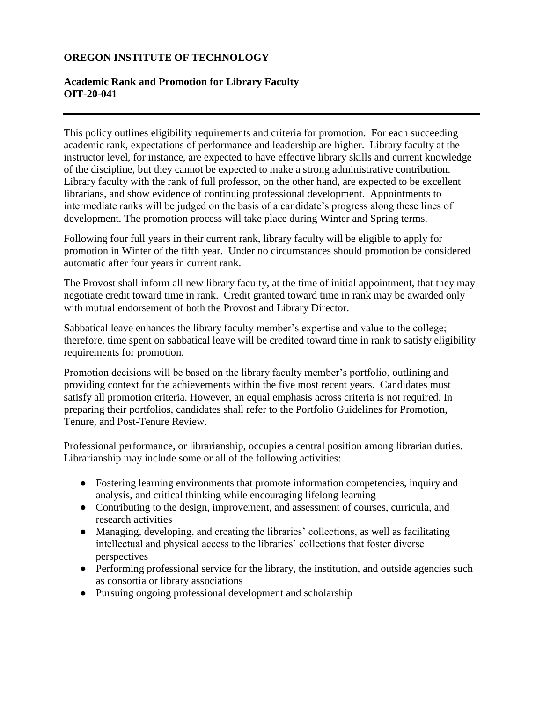# **OREGON INSTITUTE OF TECHNOLOGY**

# **Academic Rank and Promotion for Library Faculty OIT-20-041**

This policy outlines eligibility requirements and criteria for promotion. For each succeeding academic rank, expectations of performance and leadership are higher. Library faculty at the instructor level, for instance, are expected to have effective library skills and current knowledge of the discipline, but they cannot be expected to make a strong administrative contribution. Library faculty with the rank of full professor, on the other hand, are expected to be excellent librarians, and show evidence of continuing professional development. Appointments to intermediate ranks will be judged on the basis of a candidate's progress along these lines of development. The promotion process will take place during Winter and Spring terms.

Following four full years in their current rank, library faculty will be eligible to apply for promotion in Winter of the fifth year. Under no circumstances should promotion be considered automatic after four years in current rank.

The Provost shall inform all new library faculty, at the time of initial appointment, that they may negotiate credit toward time in rank. Credit granted toward time in rank may be awarded only with mutual endorsement of both the Provost and Library Director.

Sabbatical leave enhances the library faculty member's expertise and value to the college; therefore, time spent on sabbatical leave will be credited toward time in rank to satisfy eligibility requirements for promotion.

Promotion decisions will be based on the library faculty member's portfolio, outlining and providing context for the achievements within the five most recent years. Candidates must satisfy all promotion criteria. However, an equal emphasis across criteria is not required. In preparing their portfolios, candidates shall refer to the Portfolio Guidelines for Promotion, Tenure, and Post-Tenure Review.

Professional performance, or librarianship, occupies a central position among librarian duties. Librarianship may include some or all of the following activities:

- Fostering learning environments that promote information competencies, inquiry and analysis, and critical thinking while encouraging lifelong learning
- Contributing to the design, improvement, and assessment of courses, curricula, and research activities
- Managing, developing, and creating the libraries' collections, as well as facilitating intellectual and physical access to the libraries' collections that foster diverse perspectives
- Performing professional service for the library, the institution, and outside agencies such as consortia or library associations
- Pursuing ongoing professional development and scholarship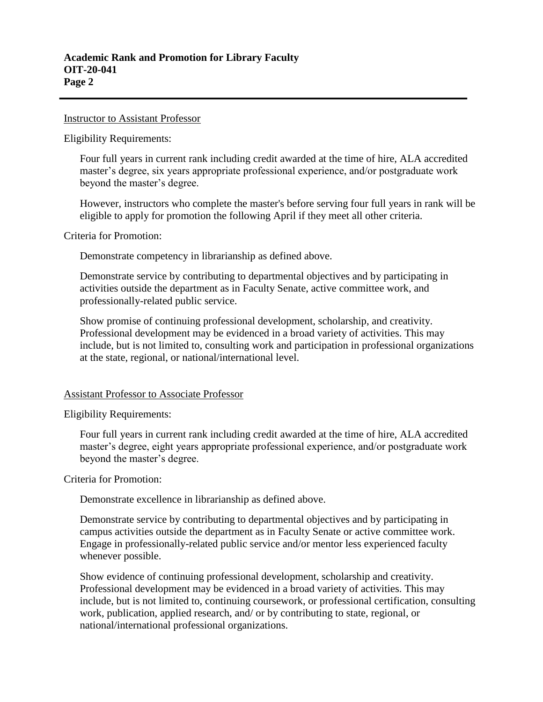#### Instructor to Assistant Professor

Eligibility Requirements:

Four full years in current rank including credit awarded at the time of hire, ALA accredited master's degree, six years appropriate professional experience, and/or postgraduate work beyond the master's degree.

However, instructors who complete the master's before serving four full years in rank will be eligible to apply for promotion the following April if they meet all other criteria.

Criteria for Promotion:

Demonstrate competency in librarianship as defined above.

Demonstrate service by contributing to departmental objectives and by participating in activities outside the department as in Faculty Senate, active committee work, and professionally-related public service.

Show promise of continuing professional development, scholarship, and creativity. Professional development may be evidenced in a broad variety of activities. This may include, but is not limited to, consulting work and participation in professional organizations at the state, regional, or national/international level.

### Assistant Professor to Associate Professor

Eligibility Requirements:

Four full years in current rank including credit awarded at the time of hire, ALA accredited master's degree, eight years appropriate professional experience, and/or postgraduate work beyond the master's degree.

Criteria for Promotion:

Demonstrate excellence in librarianship as defined above.

Demonstrate service by contributing to departmental objectives and by participating in campus activities outside the department as in Faculty Senate or active committee work. Engage in professionally-related public service and/or mentor less experienced faculty whenever possible.

Show evidence of continuing professional development, scholarship and creativity. Professional development may be evidenced in a broad variety of activities. This may include, but is not limited to, continuing coursework, or professional certification, consulting work, publication, applied research, and/ or by contributing to state, regional, or national/international professional organizations.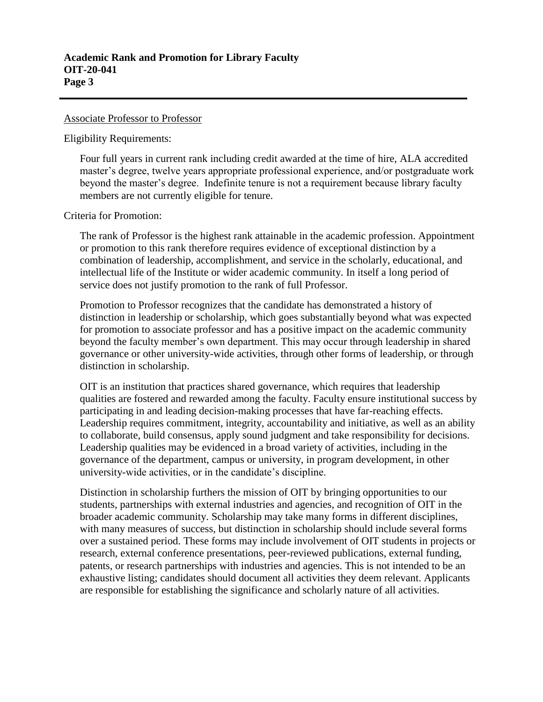#### Associate Professor to Professor

Eligibility Requirements:

Four full years in current rank including credit awarded at the time of hire, ALA accredited master's degree, twelve years appropriate professional experience, and/or postgraduate work beyond the master's degree. Indefinite tenure is not a requirement because library faculty members are not currently eligible for tenure.

Criteria for Promotion:

The rank of Professor is the highest rank attainable in the academic profession. Appointment or promotion to this rank therefore requires evidence of exceptional distinction by a combination of leadership, accomplishment, and service in the scholarly, educational, and intellectual life of the Institute or wider academic community. In itself a long period of service does not justify promotion to the rank of full Professor.

Promotion to Professor recognizes that the candidate has demonstrated a history of distinction in leadership or scholarship, which goes substantially beyond what was expected for promotion to associate professor and has a positive impact on the academic community beyond the faculty member's own department. This may occur through leadership in shared governance or other university-wide activities, through other forms of leadership, or through distinction in scholarship.

OIT is an institution that practices shared governance, which requires that leadership qualities are fostered and rewarded among the faculty. Faculty ensure institutional success by participating in and leading decision-making processes that have far-reaching effects. Leadership requires commitment, integrity, accountability and initiative, as well as an ability to collaborate, build consensus, apply sound judgment and take responsibility for decisions. Leadership qualities may be evidenced in a broad variety of activities, including in the governance of the department, campus or university, in program development, in other university-wide activities, or in the candidate's discipline.

Distinction in scholarship furthers the mission of OIT by bringing opportunities to our students, partnerships with external industries and agencies, and recognition of OIT in the broader academic community. Scholarship may take many forms in different disciplines, with many measures of success, but distinction in scholarship should include several forms over a sustained period. These forms may include involvement of OIT students in projects or research, external conference presentations, peer-reviewed publications, external funding, patents, or research partnerships with industries and agencies. This is not intended to be an exhaustive listing; candidates should document all activities they deem relevant. Applicants are responsible for establishing the significance and scholarly nature of all activities.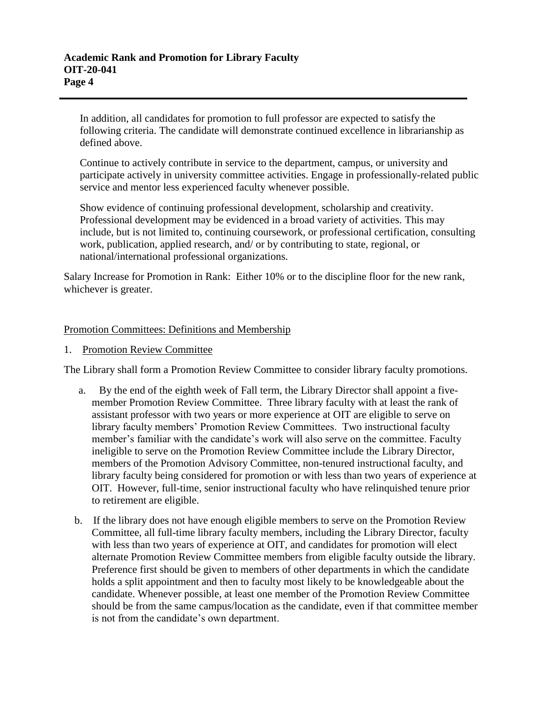In addition, all candidates for promotion to full professor are expected to satisfy the following criteria. The candidate will demonstrate continued excellence in librarianship as defined above.

Continue to actively contribute in service to the department, campus, or university and participate actively in university committee activities. Engage in professionally-related public service and mentor less experienced faculty whenever possible.

Show evidence of continuing professional development, scholarship and creativity. Professional development may be evidenced in a broad variety of activities. This may include, but is not limited to, continuing coursework, or professional certification, consulting work, publication, applied research, and/ or by contributing to state, regional, or national/international professional organizations.

Salary Increase for Promotion in Rank: Either 10% or to the discipline floor for the new rank, whichever is greater.

## Promotion Committees: Definitions and Membership

1. Promotion Review Committee

The Library shall form a Promotion Review Committee to consider library faculty promotions.

- a. By the end of the eighth week of Fall term, the Library Director shall appoint a fivemember Promotion Review Committee. Three library faculty with at least the rank of assistant professor with two years or more experience at OIT are eligible to serve on library faculty members' Promotion Review Committees. Two instructional faculty member's familiar with the candidate's work will also serve on the committee. Faculty ineligible to serve on the Promotion Review Committee include the Library Director, members of the Promotion Advisory Committee, non-tenured instructional faculty, and library faculty being considered for promotion or with less than two years of experience at OIT. However, full-time, senior instructional faculty who have relinquished tenure prior to retirement are eligible.
- b. If the library does not have enough eligible members to serve on the Promotion Review Committee, all full-time library faculty members, including the Library Director, faculty with less than two years of experience at OIT, and candidates for promotion will elect alternate Promotion Review Committee members from eligible faculty outside the library. Preference first should be given to members of other departments in which the candidate holds a split appointment and then to faculty most likely to be knowledgeable about the candidate. Whenever possible, at least one member of the Promotion Review Committee should be from the same campus/location as the candidate, even if that committee member is not from the candidate's own department.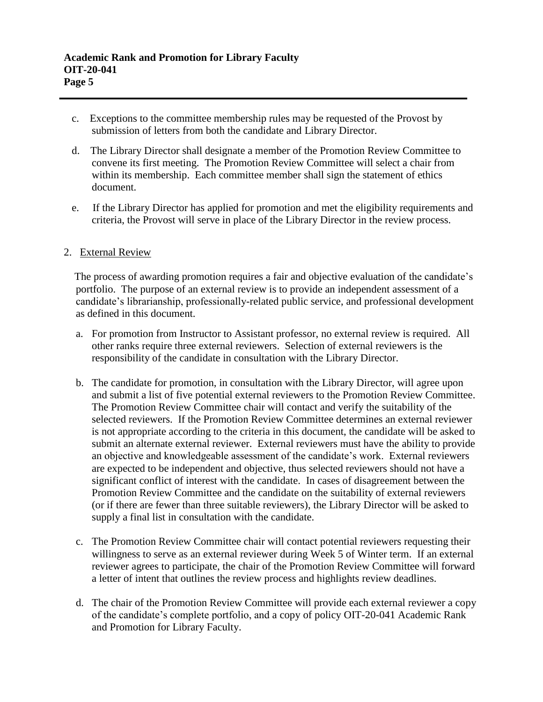- c. Exceptions to the committee membership rules may be requested of the Provost by submission of letters from both the candidate and Library Director.
- d. The Library Director shall designate a member of the Promotion Review Committee to convene its first meeting. The Promotion Review Committee will select a chair from within its membership. Each committee member shall sign the statement of ethics document.
- e. If the Library Director has applied for promotion and met the eligibility requirements and criteria, the Provost will serve in place of the Library Director in the review process.

## 2. External Review

 The process of awarding promotion requires a fair and objective evaluation of the candidate's portfolio. The purpose of an external review is to provide an independent assessment of a candidate's librarianship, professionally-related public service, and professional development as defined in this document.

- a. For promotion from Instructor to Assistant professor, no external review is required. All other ranks require three external reviewers. Selection of external reviewers is the responsibility of the candidate in consultation with the Library Director.
- b. The candidate for promotion, in consultation with the Library Director, will agree upon and submit a list of five potential external reviewers to the Promotion Review Committee. The Promotion Review Committee chair will contact and verify the suitability of the selected reviewers. If the Promotion Review Committee determines an external reviewer is not appropriate according to the criteria in this document, the candidate will be asked to submit an alternate external reviewer. External reviewers must have the ability to provide an objective and knowledgeable assessment of the candidate's work. External reviewers are expected to be independent and objective, thus selected reviewers should not have a significant conflict of interest with the candidate. In cases of disagreement between the Promotion Review Committee and the candidate on the suitability of external reviewers (or if there are fewer than three suitable reviewers), the Library Director will be asked to supply a final list in consultation with the candidate.
- c. The Promotion Review Committee chair will contact potential reviewers requesting their willingness to serve as an external reviewer during Week 5 of Winter term. If an external reviewer agrees to participate, the chair of the Promotion Review Committee will forward a letter of intent that outlines the review process and highlights review deadlines.
- d. The chair of the Promotion Review Committee will provide each external reviewer a copy of the candidate's complete portfolio, and a copy of policy OIT-20-041 Academic Rank and Promotion for Library Faculty.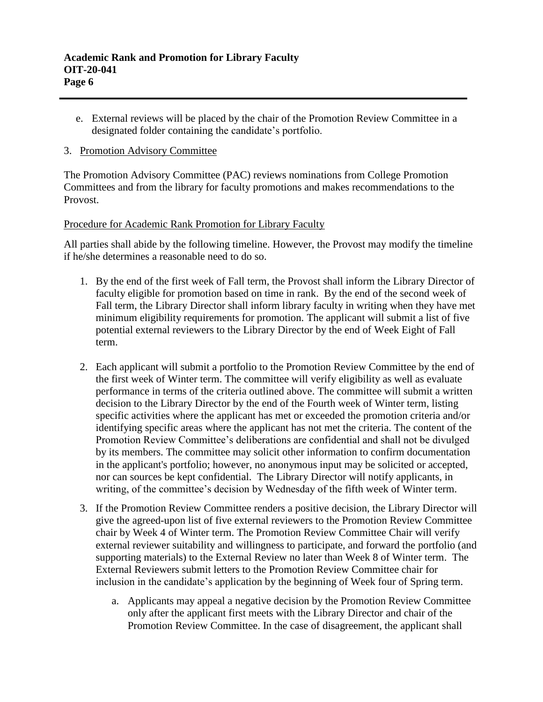e. External reviews will be placed by the chair of the Promotion Review Committee in a designated folder containing the candidate's portfolio.

## 3. Promotion Advisory Committee

The Promotion Advisory Committee (PAC) reviews nominations from College Promotion Committees and from the library for faculty promotions and makes recommendations to the Provost.

# Procedure for Academic Rank Promotion for Library Faculty

All parties shall abide by the following timeline. However, the Provost may modify the timeline if he/she determines a reasonable need to do so.

- 1. By the end of the first week of Fall term, the Provost shall inform the Library Director of faculty eligible for promotion based on time in rank. By the end of the second week of Fall term, the Library Director shall inform library faculty in writing when they have met minimum eligibility requirements for promotion. The applicant will submit a list of five potential external reviewers to the Library Director by the end of Week Eight of Fall term.
- 2. Each applicant will submit a portfolio to the Promotion Review Committee by the end of the first week of Winter term. The committee will verify eligibility as well as evaluate performance in terms of the criteria outlined above. The committee will submit a written decision to the Library Director by the end of the Fourth week of Winter term, listing specific activities where the applicant has met or exceeded the promotion criteria and/or identifying specific areas where the applicant has not met the criteria. The content of the Promotion Review Committee's deliberations are confidential and shall not be divulged by its members. The committee may solicit other information to confirm documentation in the applicant's portfolio; however, no anonymous input may be solicited or accepted, nor can sources be kept confidential. The Library Director will notify applicants, in writing, of the committee's decision by Wednesday of the fifth week of Winter term.
- 3. If the Promotion Review Committee renders a positive decision, the Library Director will give the agreed-upon list of five external reviewers to the Promotion Review Committee chair by Week 4 of Winter term. The Promotion Review Committee Chair will verify external reviewer suitability and willingness to participate, and forward the portfolio (and supporting materials) to the External Review no later than Week 8 of Winter term. The External Reviewers submit letters to the Promotion Review Committee chair for inclusion in the candidate's application by the beginning of Week four of Spring term.
	- a. Applicants may appeal a negative decision by the Promotion Review Committee only after the applicant first meets with the Library Director and chair of the Promotion Review Committee. In the case of disagreement, the applicant shall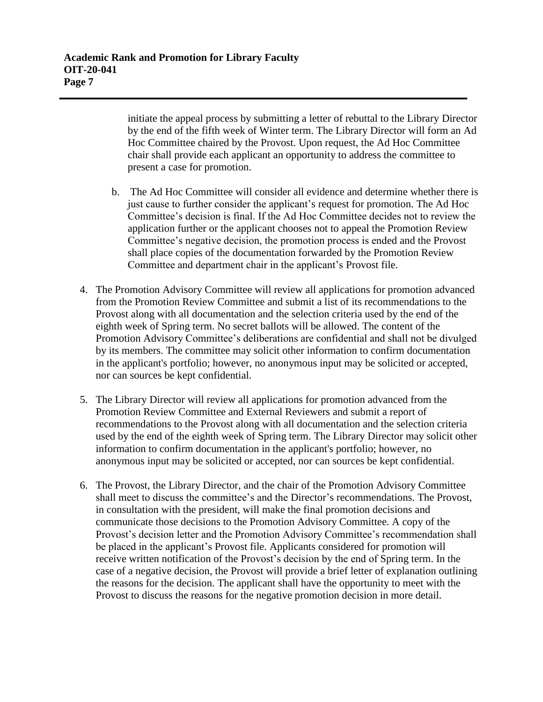initiate the appeal process by submitting a letter of rebuttal to the Library Director by the end of the fifth week of Winter term. The Library Director will form an Ad Hoc Committee chaired by the Provost. Upon request, the Ad Hoc Committee chair shall provide each applicant an opportunity to address the committee to present a case for promotion.

- b. The Ad Hoc Committee will consider all evidence and determine whether there is just cause to further consider the applicant's request for promotion. The Ad Hoc Committee's decision is final. If the Ad Hoc Committee decides not to review the application further or the applicant chooses not to appeal the Promotion Review Committee's negative decision, the promotion process is ended and the Provost shall place copies of the documentation forwarded by the Promotion Review Committee and department chair in the applicant's Provost file.
- 4. The Promotion Advisory Committee will review all applications for promotion advanced from the Promotion Review Committee and submit a list of its recommendations to the Provost along with all documentation and the selection criteria used by the end of the eighth week of Spring term. No secret ballots will be allowed. The content of the Promotion Advisory Committee's deliberations are confidential and shall not be divulged by its members. The committee may solicit other information to confirm documentation in the applicant's portfolio; however, no anonymous input may be solicited or accepted, nor can sources be kept confidential.
- 5. The Library Director will review all applications for promotion advanced from the Promotion Review Committee and External Reviewers and submit a report of recommendations to the Provost along with all documentation and the selection criteria used by the end of the eighth week of Spring term. The Library Director may solicit other information to confirm documentation in the applicant's portfolio; however, no anonymous input may be solicited or accepted, nor can sources be kept confidential.
- 6. The Provost, the Library Director, and the chair of the Promotion Advisory Committee shall meet to discuss the committee's and the Director's recommendations. The Provost, in consultation with the president, will make the final promotion decisions and communicate those decisions to the Promotion Advisory Committee. A copy of the Provost's decision letter and the Promotion Advisory Committee's recommendation shall be placed in the applicant's Provost file. Applicants considered for promotion will receive written notification of the Provost's decision by the end of Spring term. In the case of a negative decision, the Provost will provide a brief letter of explanation outlining the reasons for the decision. The applicant shall have the opportunity to meet with the Provost to discuss the reasons for the negative promotion decision in more detail.